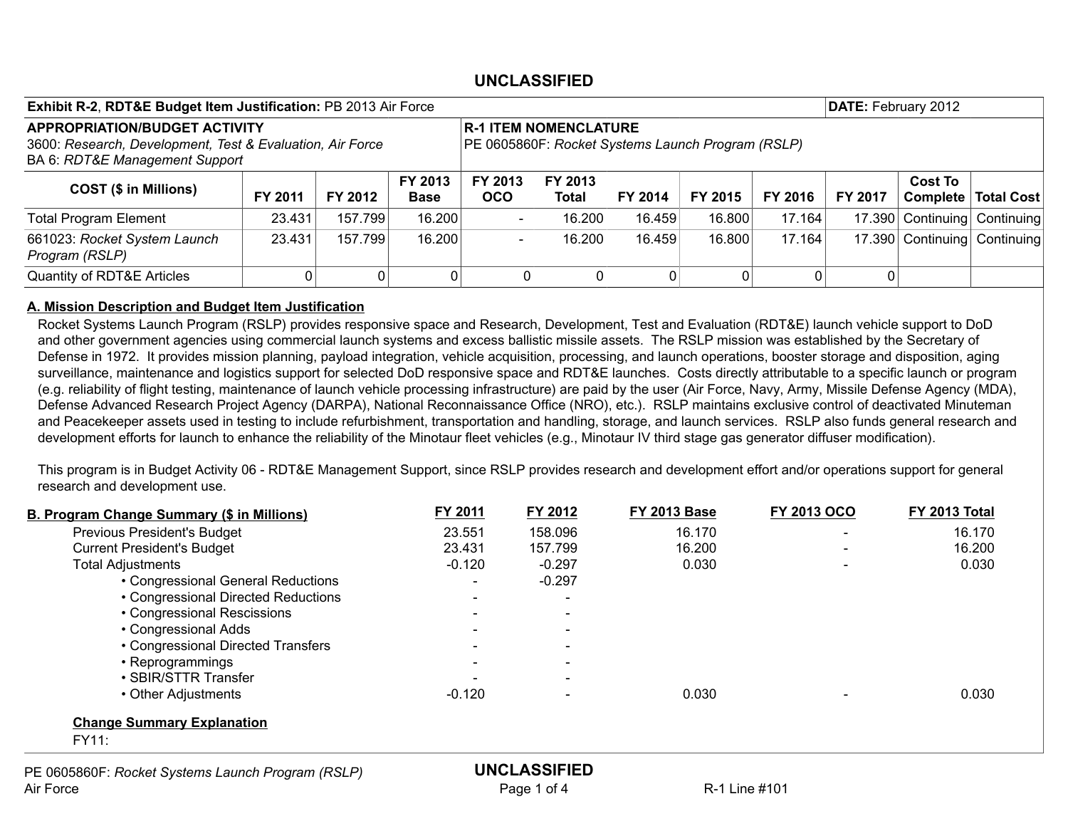| <b>Exhibit R-2, RDT&amp;E Budget Item Justification: PB 2013 Air Force</b>                                                          |         |         |                        |                                                                                   |                  |         |         |         | DATE: February 2012 |                              |            |
|-------------------------------------------------------------------------------------------------------------------------------------|---------|---------|------------------------|-----------------------------------------------------------------------------------|------------------|---------|---------|---------|---------------------|------------------------------|------------|
| <b>APPROPRIATION/BUDGET ACTIVITY</b><br>3600: Research, Development, Test & Evaluation, Air Force<br>BA 6: RDT&E Management Support |         |         |                        | <b>R-1 ITEM NOMENCLATURE</b><br>PE 0605860F: Rocket Systems Launch Program (RSLP) |                  |         |         |         |                     |                              |            |
| <b>COST (\$ in Millions)</b>                                                                                                        | FY 2011 | FY 2012 | FY 2013<br><b>Base</b> | FY 2013<br><b>OCO</b>                                                             | FY 2013<br>Total | FY 2014 | FY 2015 | FY 2016 | FY 2017             | <b>Cost To</b><br>Complete   | Total Cost |
| <b>Total Program Element</b>                                                                                                        | 23.431  | 157.799 | 16.200                 | $\sim$                                                                            | 16.200           | 16.459  | 16.800  | 17.164  |                     | 17.390 Continuing            | Continuing |
| 661023: Rocket System Launch<br>Program (RSLP)                                                                                      | 23.431  | 157.799 | 16.200                 | $\overline{\phantom{a}}$                                                          | 16.200           | 16.459  | 16.800  | 17.164  |                     | 17.390 Continuing Continuing |            |
| <b>Quantity of RDT&amp;E Articles</b>                                                                                               |         | 0       |                        |                                                                                   |                  |         |         | 0       |                     |                              |            |

#### A. Mission Description and Budget Item Justification

Rocket Systems Launch Program (RSLP) provides responsive space and Research, Development, Test and Evaluation (RDT&E) launch vehicle support to DoD and other government agencies using commercial launch systems and excess ballistic missile assets. The RSLP mission was established by the Secretary of Defense in 1972. It provides mission planning, payload integration, vehicle acquisition, processing, and launch operations, booster storage and disposition, aging surveillance, maintenance and logistics support for selected DoD responsive space and RDT&E launches. Costs directly attributable to a specific launch or program (e.g. reliability of flight testing, maintenance of launch vehicle processing infrastructure) are paid by the user (Air Force, Navy, Army, Missile Defense Agency (MDA), Defense Advanced Research Project Agency (DARPA), National Reconnaissance Office (NRO), etc.). RSLP maintains exclusive control of deactivated Minuteman and Peacekeeper assets used in testing to include refurbishment, transportation and handling, storage, and launch services. RSLP also funds general research and development efforts for launch to enhance the reliability of the Minotaur fleet vehicles (e.g., Minotaur IV third stage gas generator diffuser modification).

This program is in Budget Activity 06 - RDT&E Management Support, since RSLP provides research and development effort and/or operations support for general research and development use.

| B. Program Change Summary (\$ in Millions)        | FY 2011                  | FY 2012                  | <b>FY 2013 Base</b> | <b>FY 2013 OCO</b>       | <b>FY 2013 Total</b> |
|---------------------------------------------------|--------------------------|--------------------------|---------------------|--------------------------|----------------------|
| <b>Previous President's Budget</b>                | 23.551                   | 158.096                  | 16.170              | $\overline{\phantom{a}}$ | 16.170               |
| <b>Current President's Budget</b>                 | 23.431                   | 157.799                  | 16.200              |                          | 16.200               |
| <b>Total Adjustments</b>                          | $-0.120$                 | $-0.297$                 | 0.030               |                          | 0.030                |
| • Congressional General Reductions                | $\overline{\phantom{a}}$ | $-0.297$                 |                     |                          |                      |
| • Congressional Directed Reductions               |                          |                          |                     |                          |                      |
| • Congressional Rescissions                       |                          |                          |                     |                          |                      |
| • Congressional Adds                              | $\overline{\phantom{a}}$ | $\overline{\phantom{a}}$ |                     |                          |                      |
| • Congressional Directed Transfers                |                          | $\overline{\phantom{a}}$ |                     |                          |                      |
| • Reprogrammings                                  |                          |                          |                     |                          |                      |
| • SBIR/STTR Transfer                              |                          | $\overline{\phantom{a}}$ |                     |                          |                      |
| • Other Adjustments                               | $-0.120$                 |                          | 0.030               |                          | 0.030                |
| <b>Change Summary Explanation</b>                 |                          |                          |                     |                          |                      |
| <b>FY11:</b>                                      |                          |                          |                     |                          |                      |
| PE 0605860F: Rocket Systems Launch Program (RSLP) |                          | <b>UNCLASSIFIED</b>      |                     |                          |                      |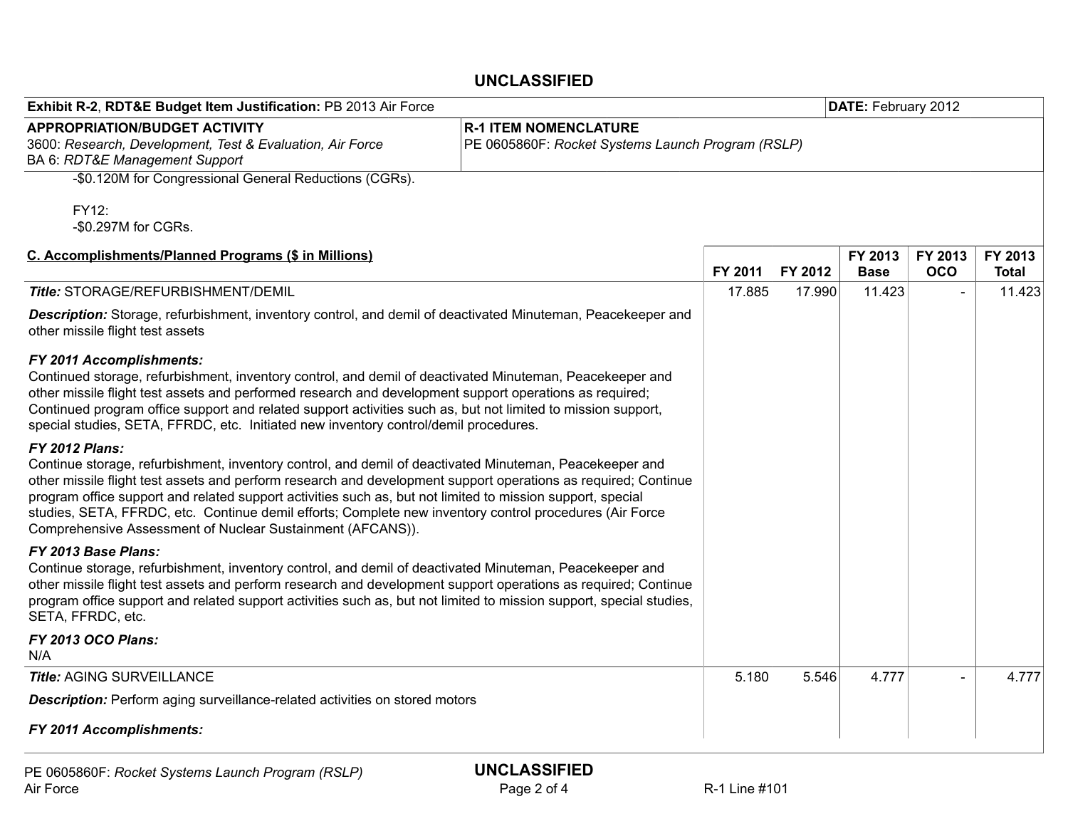| Exhibit R-2, RDT&E Budget Item Justification: PB 2013 Air Force                                                                                                                                                                                                                                                                                                                                                                                                                                                                           | DATE: February 2012                               |         |         |                        |                       |                         |
|-------------------------------------------------------------------------------------------------------------------------------------------------------------------------------------------------------------------------------------------------------------------------------------------------------------------------------------------------------------------------------------------------------------------------------------------------------------------------------------------------------------------------------------------|---------------------------------------------------|---------|---------|------------------------|-----------------------|-------------------------|
| <b>APPROPRIATION/BUDGET ACTIVITY</b><br>3600: Research, Development, Test & Evaluation, Air Force<br>BA 6: RDT&E Management Support                                                                                                                                                                                                                                                                                                                                                                                                       | PE 0605860F: Rocket Systems Launch Program (RSLP) |         |         |                        |                       |                         |
| -\$0.120M for Congressional General Reductions (CGRs).                                                                                                                                                                                                                                                                                                                                                                                                                                                                                    |                                                   |         |         |                        |                       |                         |
| FY12:<br>-\$0.297M for CGRs.                                                                                                                                                                                                                                                                                                                                                                                                                                                                                                              |                                                   |         |         |                        |                       |                         |
| C. Accomplishments/Planned Programs (\$ in Millions)                                                                                                                                                                                                                                                                                                                                                                                                                                                                                      |                                                   | FY 2011 | FY 2012 | FY 2013<br><b>Base</b> | FY 2013<br><b>OCO</b> | FY 2013<br><b>Total</b> |
| Title: STORAGE/REFURBISHMENT/DEMIL                                                                                                                                                                                                                                                                                                                                                                                                                                                                                                        |                                                   | 17.885  | 17.990  | 11.423                 |                       | 11.423                  |
| Description: Storage, refurbishment, inventory control, and demil of deactivated Minuteman, Peacekeeper and<br>other missile flight test assets                                                                                                                                                                                                                                                                                                                                                                                           |                                                   |         |         |                        |                       |                         |
| FY 2011 Accomplishments:<br>Continued storage, refurbishment, inventory control, and demil of deactivated Minuteman, Peacekeeper and<br>other missile flight test assets and performed research and development support operations as required;<br>Continued program office support and related support activities such as, but not limited to mission support,<br>special studies, SETA, FFRDC, etc. Initiated new inventory control/demil procedures.                                                                                   |                                                   |         |         |                        |                       |                         |
| <b>FY 2012 Plans:</b><br>Continue storage, refurbishment, inventory control, and demil of deactivated Minuteman, Peacekeeper and<br>other missile flight test assets and perform research and development support operations as required; Continue<br>program office support and related support activities such as, but not limited to mission support, special<br>studies, SETA, FFRDC, etc. Continue demil efforts; Complete new inventory control procedures (Air Force<br>Comprehensive Assessment of Nuclear Sustainment (AFCANS)). |                                                   |         |         |                        |                       |                         |
| FY 2013 Base Plans:<br>Continue storage, refurbishment, inventory control, and demil of deactivated Minuteman, Peacekeeper and<br>other missile flight test assets and perform research and development support operations as required; Continue<br>program office support and related support activities such as, but not limited to mission support, special studies,<br>SETA, FFRDC, etc.                                                                                                                                              |                                                   |         |         |                        |                       |                         |
| FY 2013 OCO Plans:<br>N/A                                                                                                                                                                                                                                                                                                                                                                                                                                                                                                                 |                                                   |         |         |                        |                       |                         |
| <b>Title: AGING SURVEILLANCE</b>                                                                                                                                                                                                                                                                                                                                                                                                                                                                                                          |                                                   | 5.180   | 5.546   | 4.777                  |                       | 4.777                   |
| <b>Description:</b> Perform aging surveillance-related activities on stored motors                                                                                                                                                                                                                                                                                                                                                                                                                                                        |                                                   |         |         |                        |                       |                         |
| FY 2011 Accomplishments:                                                                                                                                                                                                                                                                                                                                                                                                                                                                                                                  |                                                   |         |         |                        |                       |                         |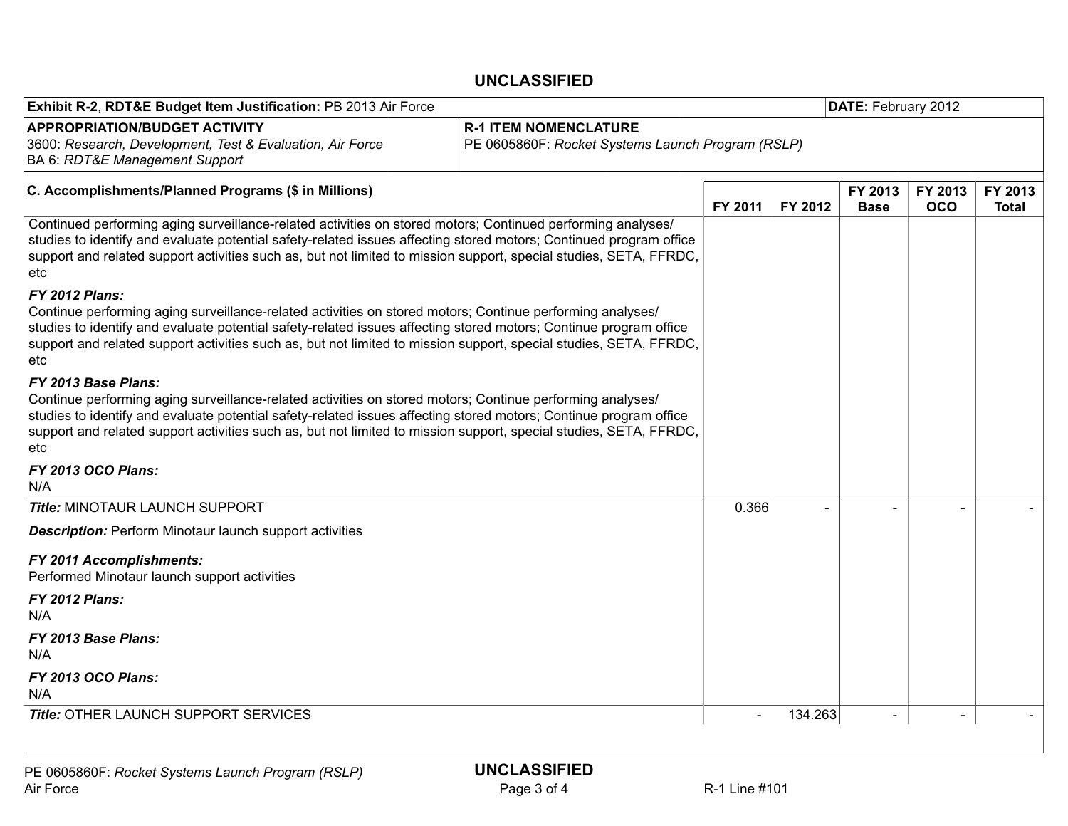| Exhibit R-2, RDT&E Budget Item Justification: PB 2013 Air Force                                                                                                                                                                                                                                                                                                                     |                                                                                   |         |         | DATE: February 2012    |                       |                         |  |
|-------------------------------------------------------------------------------------------------------------------------------------------------------------------------------------------------------------------------------------------------------------------------------------------------------------------------------------------------------------------------------------|-----------------------------------------------------------------------------------|---------|---------|------------------------|-----------------------|-------------------------|--|
|                                                                                                                                                                                                                                                                                                                                                                                     |                                                                                   |         |         |                        |                       |                         |  |
| <b>APPROPRIATION/BUDGET ACTIVITY</b><br>3600: Research, Development, Test & Evaluation, Air Force<br>BA 6: RDT&E Management Support                                                                                                                                                                                                                                                 | <b>R-1 ITEM NOMENCLATURE</b><br>PE 0605860F: Rocket Systems Launch Program (RSLP) |         |         |                        |                       |                         |  |
| C. Accomplishments/Planned Programs (\$ in Millions)                                                                                                                                                                                                                                                                                                                                |                                                                                   | FY 2011 | FY 2012 | FY 2013<br><b>Base</b> | FY 2013<br><b>OCO</b> | FY 2013<br><b>Total</b> |  |
| Continued performing aging surveillance-related activities on stored motors; Continued performing analyses/<br>studies to identify and evaluate potential safety-related issues affecting stored motors; Continued program office<br>support and related support activities such as, but not limited to mission support, special studies, SETA, FFRDC,<br>etc                       |                                                                                   |         |         |                        |                       |                         |  |
| <b>FY 2012 Plans:</b><br>Continue performing aging surveillance-related activities on stored motors; Continue performing analyses/<br>studies to identify and evaluate potential safety-related issues affecting stored motors; Continue program office<br>support and related support activities such as, but not limited to mission support, special studies, SETA, FFRDC,<br>etc |                                                                                   |         |         |                        |                       |                         |  |
| FY 2013 Base Plans:<br>Continue performing aging surveillance-related activities on stored motors; Continue performing analyses/<br>studies to identify and evaluate potential safety-related issues affecting stored motors; Continue program office<br>support and related support activities such as, but not limited to mission support, special studies, SETA, FFRDC,<br>etc   |                                                                                   |         |         |                        |                       |                         |  |
| FY 2013 OCO Plans:<br>N/A                                                                                                                                                                                                                                                                                                                                                           |                                                                                   |         |         |                        |                       |                         |  |
| <b>Title: MINOTAUR LAUNCH SUPPORT</b>                                                                                                                                                                                                                                                                                                                                               |                                                                                   | 0.366   |         |                        |                       |                         |  |
| <b>Description:</b> Perform Minotaur launch support activities                                                                                                                                                                                                                                                                                                                      |                                                                                   |         |         |                        |                       |                         |  |
| FY 2011 Accomplishments:<br>Performed Minotaur launch support activities                                                                                                                                                                                                                                                                                                            |                                                                                   |         |         |                        |                       |                         |  |
| <b>FY 2012 Plans:</b><br>N/A                                                                                                                                                                                                                                                                                                                                                        |                                                                                   |         |         |                        |                       |                         |  |
| FY 2013 Base Plans:<br>N/A                                                                                                                                                                                                                                                                                                                                                          |                                                                                   |         |         |                        |                       |                         |  |
| <b>FY 2013 OCO Plans:</b><br>N/A                                                                                                                                                                                                                                                                                                                                                    |                                                                                   |         |         |                        |                       |                         |  |
| <b>Title: OTHER LAUNCH SUPPORT SERVICES</b>                                                                                                                                                                                                                                                                                                                                         |                                                                                   |         | 134.263 |                        |                       |                         |  |